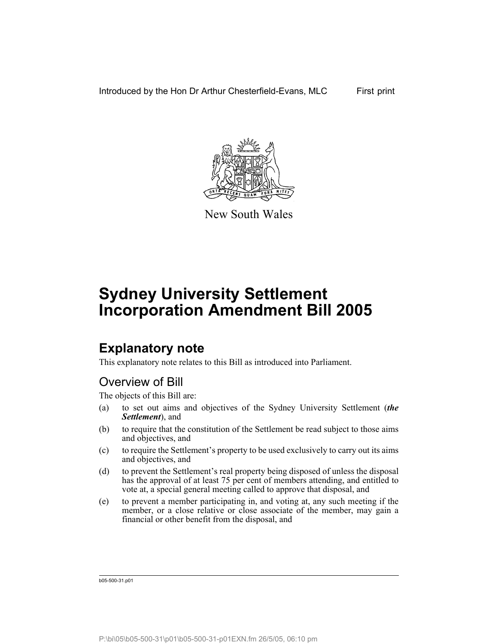Introduced by the Hon Dr Arthur Chesterfield-Evans, MLC First print



New South Wales

# **Sydney University Settlement Incorporation Amendment Bill 2005**

## **Explanatory note**

This explanatory note relates to this Bill as introduced into Parliament.

## Overview of Bill

The objects of this Bill are:

- (a) to set out aims and objectives of the Sydney University Settlement (*the Settlement*), and
- (b) to require that the constitution of the Settlement be read subject to those aims and objectives, and
- (c) to require the Settlement's property to be used exclusively to carry out its aims and objectives, and
- (d) to prevent the Settlement's real property being disposed of unless the disposal has the approval of at least 75 per cent of members attending, and entitled to vote at, a special general meeting called to approve that disposal, and
- (e) to prevent a member participating in, and voting at, any such meeting if the member, or a close relative or close associate of the member, may gain a financial or other benefit from the disposal, and

b05-500-31.p01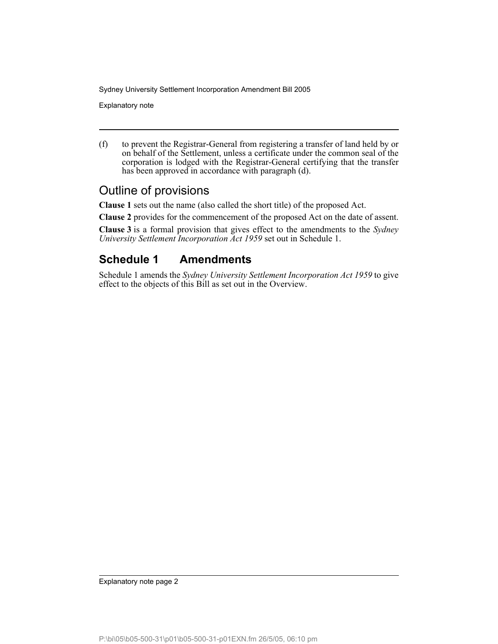Explanatory note

(f) to prevent the Registrar-General from registering a transfer of land held by or on behalf of the Settlement, unless a certificate under the common seal of the corporation is lodged with the Registrar-General certifying that the transfer has been approved in accordance with paragraph (d).

### Outline of provisions

**Clause 1** sets out the name (also called the short title) of the proposed Act.

**Clause 2** provides for the commencement of the proposed Act on the date of assent.

**Clause 3** is a formal provision that gives effect to the amendments to the *Sydney University Settlement Incorporation Act 1959* set out in Schedule 1.

### **Schedule 1 Amendments**

Schedule 1 amends the *Sydney University Settlement Incorporation Act 1959* to give effect to the objects of this Bill as set out in the Overview.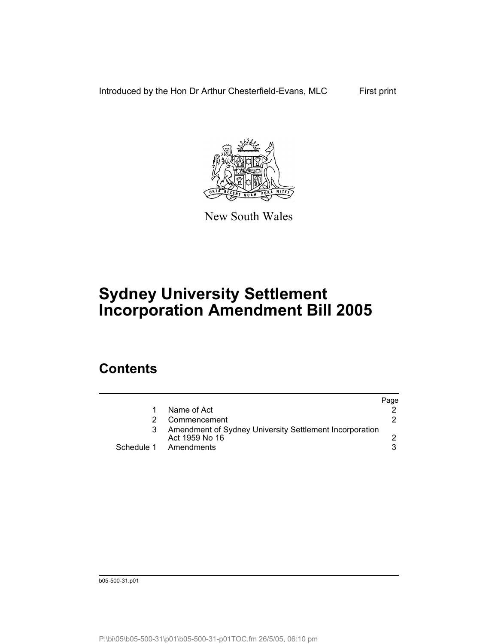Introduced by the Hon Dr Arthur Chesterfield-Evans, MLC First print



New South Wales

# **Sydney University Settlement Incorporation Amendment Bill 2005**

### **Contents**

|                                                                           | Page |
|---------------------------------------------------------------------------|------|
| Name of Act                                                               |      |
| Commencement                                                              |      |
| Amendment of Sydney University Settlement Incorporation<br>Act 1959 No 16 |      |
| Schedule 1 Amendments                                                     |      |

b05-500-31.p01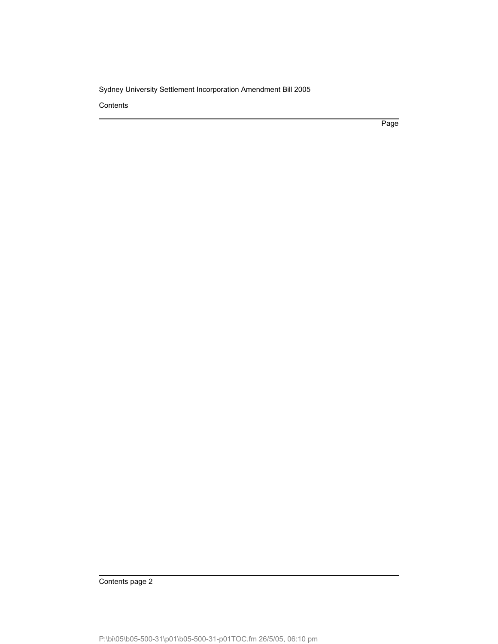**Contents** 

Page

Contents page 2

P:\bi\05\b05-500-31\p01\b05-500-31-p01TOC.fm 26/5/05, 06:10 pm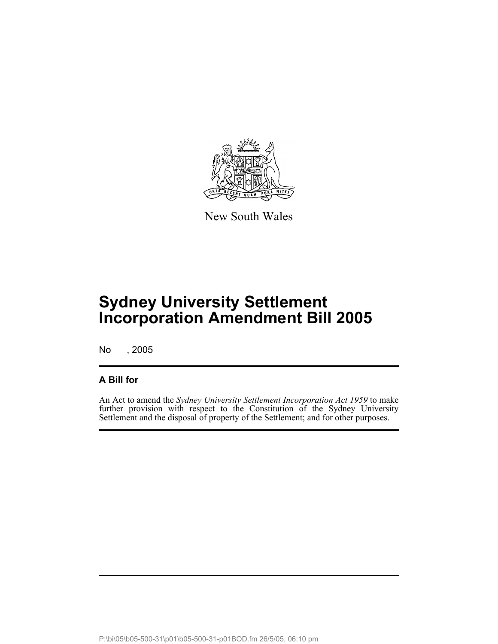

New South Wales

No , 2005

### **A Bill for**

An Act to amend the *Sydney University Settlement Incorporation Act 1959* to make further provision with respect to the Constitution of the Sydney University Settlement and the disposal of property of the Settlement; and for other purposes.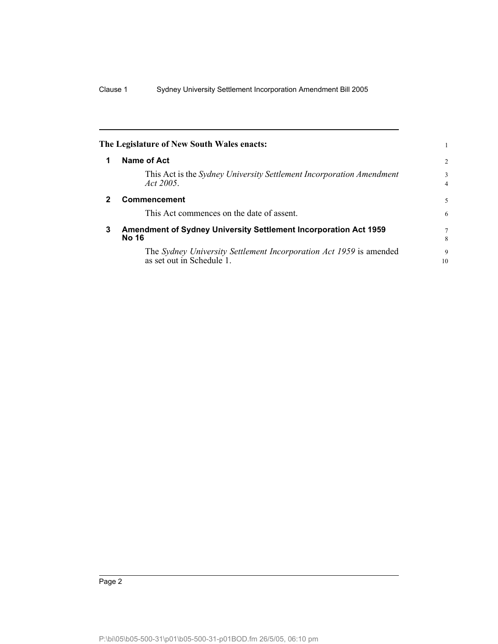|              | The Legislature of New South Wales enacts:                                                      |                     |
|--------------|-------------------------------------------------------------------------------------------------|---------------------|
|              | Name of Act                                                                                     | 2                   |
|              | This Act is the Sydney University Settlement Incorporation Amendment<br>Act 2005.               | 3<br>$\overline{4}$ |
| $\mathbf{2}$ | Commencement                                                                                    | 5                   |
|              | This Act commences on the date of assent.                                                       | 6                   |
| 3            | Amendment of Sydney University Settlement Incorporation Act 1959<br><b>No 16</b>                | $\tau$<br>8         |
|              | The Sydney University Settlement Incorporation Act 1959 is amended<br>as set out in Schedule 1. | 9<br>10             |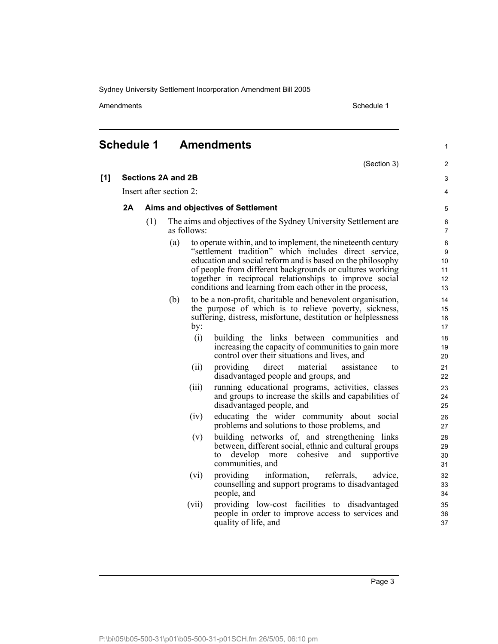Amendments **Amendments** Schedule 1

#### **Schedule 1 Amendments**

(Section 3) **[1] Sections 2A and 2B** Insert after section 2: **2A Aims and objectives of Settlement** (1) The aims and objectives of the Sydney University Settlement are as follows: (a) to operate within, and to implement, the nineteenth century "settlement tradition" which includes direct service, education and social reform and is based on the philosophy of people from different backgrounds or cultures working together in reciprocal relationships to improve social conditions and learning from each other in the process, (b) to be a non-profit, charitable and benevolent organisation, the purpose of which is to relieve poverty, sickness, suffering, distress, misfortune, destitution or helplessness by: (i) building the links between communities and increasing the capacity of communities to gain more control over their situations and lives, and (ii) providing direct material assistance to disadvantaged people and groups, and (iii) running educational programs, activities, classes and groups to increase the skills and capabilities of disadvantaged people, and (iv) educating the wider community about social problems and solutions to those problems, and (v) building networks of, and strengthening links between, different social, ethnic and cultural groups to develop more cohesive and supportive communities, and (vi) providing information, referrals, advice, counselling and support programs to disadvantaged people, and (vii) providing low-cost facilities to disadvantaged people in order to improve access to services and quality of life, and 1 2 3 4 5 6 7 8 9 10 11 12 13 14 15 16 17 18 19 20 21 22 23 24 25 26 27 28 29 30 31 32 33 34 35 36 37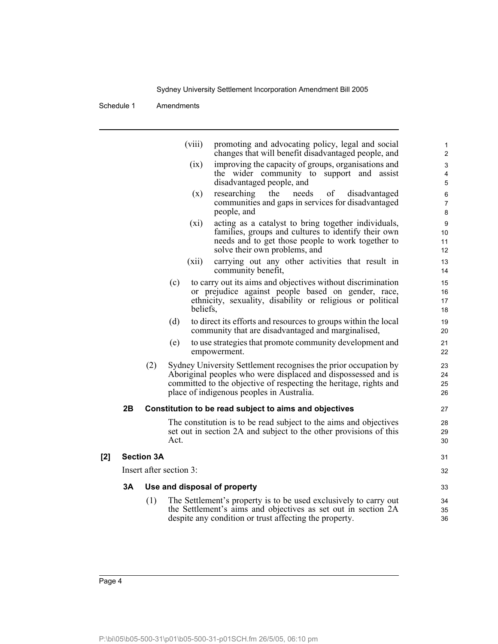Schedule 1 Amendments

|     |    |                   | (viii)                  | promoting and advocating policy, legal and social<br>changes that will benefit disadvantaged people, and             | 1<br>2         |
|-----|----|-------------------|-------------------------|----------------------------------------------------------------------------------------------------------------------|----------------|
|     |    |                   | (ix)                    | improving the capacity of groups, organisations and                                                                  | 3              |
|     |    |                   |                         | the wider community to support and assist                                                                            | 4              |
|     |    |                   |                         | disadvantaged people, and                                                                                            | 5              |
|     |    |                   | (x)                     | researching<br>the<br>of<br>needs<br>disadvantaged                                                                   | 6              |
|     |    |                   |                         | communities and gaps in services for disadvantaged                                                                   | $\overline{7}$ |
|     |    |                   |                         | people, and                                                                                                          | 8              |
|     |    |                   | (xi)                    | acting as a catalyst to bring together individuals,<br>families, groups and cultures to identify their own           | 9<br>10        |
|     |    |                   |                         | needs and to get those people to work together to                                                                    | 11             |
|     |    |                   |                         | solve their own problems, and                                                                                        | 12             |
|     |    |                   | (xii)                   | carrying out any other activities that result in<br>community benefit,                                               | 13<br>14       |
|     |    |                   | (c)                     | to carry out its aims and objectives without discrimination                                                          | 15             |
|     |    |                   |                         | or prejudice against people based on gender, race,                                                                   | 16             |
|     |    |                   |                         | ethnicity, sexuality, disability or religious or political                                                           | 17             |
|     |    |                   | beliefs,                |                                                                                                                      | 18             |
|     |    |                   | (d)                     | to direct its efforts and resources to groups within the local<br>community that are disadvantaged and marginalised, | 19<br>20       |
|     |    |                   | (e)                     | to use strategies that promote community development and<br>empowerment.                                             | 21<br>22       |
|     |    | (2)               |                         | Sydney University Settlement recognises the prior occupation by                                                      | 23             |
|     |    |                   |                         | Aboriginal peoples who were displaced and dispossessed and is                                                        | 24             |
|     |    |                   |                         | committed to the objective of respecting the heritage, rights and                                                    | 25             |
|     |    |                   |                         | place of indigenous peoples in Australia.                                                                            | 26             |
|     | 2Β |                   |                         | Constitution to be read subject to aims and objectives                                                               | 27             |
|     |    |                   |                         | The constitution is to be read subject to the aims and objectives                                                    | 28             |
|     |    |                   |                         | set out in section 2A and subject to the other provisions of this                                                    | 29             |
|     |    |                   | Act.                    |                                                                                                                      | 30             |
| [2] |    | <b>Section 3A</b> |                         |                                                                                                                      | 31             |
|     |    |                   | Insert after section 3: |                                                                                                                      | 32             |
|     | 3А |                   |                         | Use and disposal of property                                                                                         | 33             |
|     |    | (1)               |                         | The Settlement's property is to be used exclusively to carry out                                                     | 34             |
|     |    |                   |                         | the Settlement's aims and objectives as set out in section 2A                                                        | 35             |
|     |    |                   |                         | despite any condition or trust affecting the property.                                                               | 36             |
|     |    |                   |                         |                                                                                                                      |                |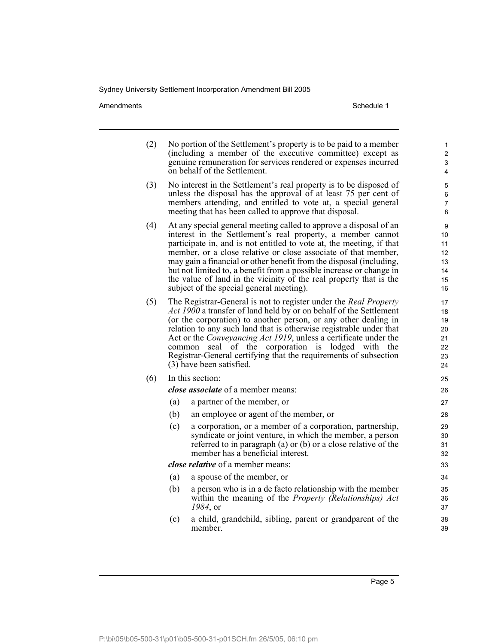Amendments Schedule 1

| (2) |                                                                                                                                                                                                                                                                                                                                                                                                                                                                                                                                            | No portion of the Settlement's property is to be paid to a member<br>(including a member of the executive committee) except as<br>genuine remuneration for services rendered or expenses incurred<br>on behalf of the Settlement. | 1<br>$\overline{\mathbf{c}}$<br>3<br>4       |
|-----|--------------------------------------------------------------------------------------------------------------------------------------------------------------------------------------------------------------------------------------------------------------------------------------------------------------------------------------------------------------------------------------------------------------------------------------------------------------------------------------------------------------------------------------------|-----------------------------------------------------------------------------------------------------------------------------------------------------------------------------------------------------------------------------------|----------------------------------------------|
| (3) | No interest in the Settlement's real property is to be disposed of<br>unless the disposal has the approval of at least 75 per cent of<br>members attending, and entitled to vote at, a special general<br>meeting that has been called to approve that disposal.                                                                                                                                                                                                                                                                           |                                                                                                                                                                                                                                   |                                              |
| (4) | At any special general meeting called to approve a disposal of an<br>interest in the Settlement's real property, a member cannot<br>participate in, and is not entitled to vote at, the meeting, if that<br>member, or a close relative or close associate of that member,<br>may gain a financial or other benefit from the disposal (including,<br>but not limited to, a benefit from a possible increase or change in<br>the value of land in the vicinity of the real property that is the<br>subject of the special general meeting). |                                                                                                                                                                                                                                   | 9<br>10<br>11<br>12<br>13<br>14<br>15<br>16  |
| (5) | The Registrar-General is not to register under the Real Property<br>Act 1900 a transfer of land held by or on behalf of the Settlement<br>(or the corporation) to another person, or any other dealing in<br>relation to any such land that is otherwise registrable under that<br>Act or the Conveyancing Act 1919, unless a certificate under the<br>seal of the corporation is<br>lodged with<br>the<br>common<br>Registrar-General certifying that the requirements of subsection<br>(3) have been satisfied.                          |                                                                                                                                                                                                                                   | 17<br>18<br>19<br>20<br>21<br>22<br>23<br>24 |
| (6) |                                                                                                                                                                                                                                                                                                                                                                                                                                                                                                                                            | In this section:                                                                                                                                                                                                                  | 25                                           |
|     |                                                                                                                                                                                                                                                                                                                                                                                                                                                                                                                                            | close associate of a member means:                                                                                                                                                                                                | 26                                           |
|     | (a)                                                                                                                                                                                                                                                                                                                                                                                                                                                                                                                                        | a partner of the member, or                                                                                                                                                                                                       | 27                                           |
|     | (b)                                                                                                                                                                                                                                                                                                                                                                                                                                                                                                                                        | an employee or agent of the member, or                                                                                                                                                                                            | 28                                           |
|     | (c)                                                                                                                                                                                                                                                                                                                                                                                                                                                                                                                                        | a corporation, or a member of a corporation, partnership,<br>syndicate or joint venture, in which the member, a person<br>referred to in paragraph (a) or (b) or a close relative of the<br>member has a beneficial interest.     | 29<br>30<br>31<br>32                         |
|     | close relative of a member means:                                                                                                                                                                                                                                                                                                                                                                                                                                                                                                          |                                                                                                                                                                                                                                   |                                              |
|     | (a)                                                                                                                                                                                                                                                                                                                                                                                                                                                                                                                                        | a spouse of the member, or                                                                                                                                                                                                        | 34                                           |
|     | (b)                                                                                                                                                                                                                                                                                                                                                                                                                                                                                                                                        | a person who is in a de facto relationship with the member<br>within the meaning of the <i>Property (Relationships)</i> Act<br>1984, or                                                                                           | 35<br>36<br>37                               |
|     | (c)                                                                                                                                                                                                                                                                                                                                                                                                                                                                                                                                        | a child, grandchild, sibling, parent or grandparent of the<br>member.                                                                                                                                                             | 38<br>39                                     |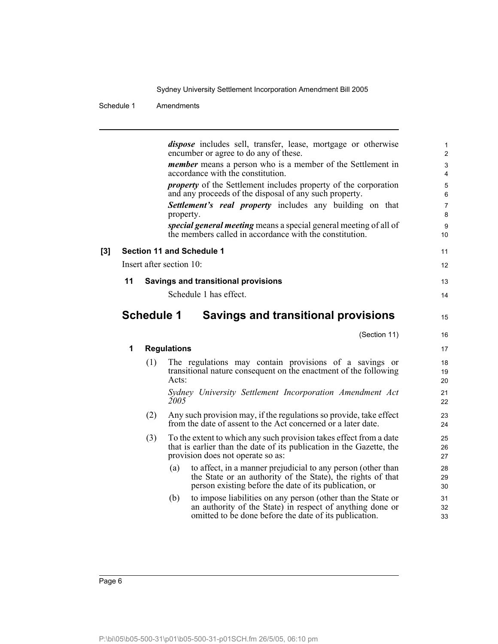#### Schedule 1 Amendments

|     |    |                   | <i>dispose</i> includes sell, transfer, lease, mortgage or otherwise<br>encumber or agree to do any of these.                                                                                | 1<br>$\overline{2}$  |
|-----|----|-------------------|----------------------------------------------------------------------------------------------------------------------------------------------------------------------------------------------|----------------------|
|     |    |                   | <i>member</i> means a person who is a member of the Settlement in<br>accordance with the constitution.                                                                                       | $\mathsf 3$          |
|     |    |                   | <i>property</i> of the Settlement includes property of the corporation                                                                                                                       | 4<br>5               |
|     |    |                   | and any proceeds of the disposal of any such property.                                                                                                                                       | 6                    |
|     |    |                   | Settlement's real property includes any building on that<br>property.                                                                                                                        | $\overline{7}$<br>8  |
|     |    |                   | special general meeting means a special general meeting of all of<br>the members called in accordance with the constitution.                                                                 | 9<br>10 <sup>1</sup> |
| [3] |    |                   | <b>Section 11 and Schedule 1</b>                                                                                                                                                             | 11                   |
|     |    |                   | Insert after section 10:                                                                                                                                                                     | 12                   |
|     | 11 |                   | Savings and transitional provisions                                                                                                                                                          | 13                   |
|     |    |                   | Schedule 1 has effect.                                                                                                                                                                       | 14                   |
|     |    | <b>Schedule 1</b> | <b>Savings and transitional provisions</b>                                                                                                                                                   | 15                   |
|     |    |                   | (Section 11)                                                                                                                                                                                 | 16                   |
|     | 1  |                   | <b>Regulations</b>                                                                                                                                                                           | 17                   |
|     |    | (1)               | The regulations may contain provisions of a savings or<br>transitional nature consequent on the enactment of the following<br>Acts:                                                          | 18<br>19<br>20       |
|     |    |                   |                                                                                                                                                                                              |                      |
|     |    |                   | Sydney University Settlement Incorporation Amendment Act<br>2005                                                                                                                             | 21<br>22             |
|     |    | (2)               | Any such provision may, if the regulations so provide, take effect<br>from the date of assent to the Act concerned or a later date.                                                          | 23<br>24             |
|     |    | (3)               | To the extent to which any such provision takes effect from a date<br>that is earlier than the date of its publication in the Gazette, the<br>provision does not operate so as:              | 25<br>26<br>27       |
|     |    |                   | to affect, in a manner prejudicial to any person (other than<br>(a)<br>the State or an authority of the State), the rights of that<br>person existing before the date of its publication, or | 28<br>29<br>30       |
|     |    |                   | to impose liabilities on any person (other than the State or<br>(b)<br>an authority of the State) in respect of anything done or<br>omitted to be done before the date of its publication.   | 31<br>32<br>33       |